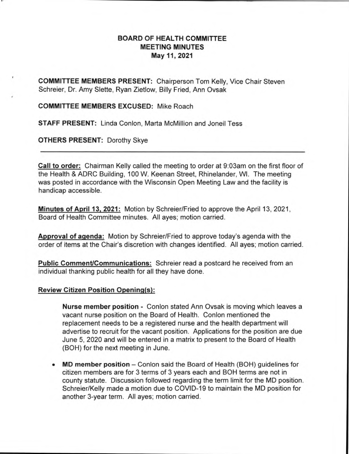## **BOARD OF HEALTH COMMITTEE MEETING MINUTES May 11, 2021**

**COMMITTEE MEMBERS PRESENT:** Chairperson Tom Kelly, Vice Chair Steven Schreier, Dr. Amy Slette, Ryan Zietlow, Billy Fried, Ann Ovsak

**COMMITTEE MEMBERS EXCUSED:** Mike Roach

**STAFF PRESENT:** Linda Conlon, Marta McMillion and Joneil Tess

**OTHERS PRESENT:** Dorothy Skye

**Call to order:** Chairman Kelly called the meeting to order at 9:03am on the first floor of the Health & ADRC Building, 100 W. Keenan Street, Rhinelander, WI. The meeting was posted in accordance with the Wisconsin Open Meeting Law and the facility is handicap accessible.

**Minutes of April 13, 2021:** Motion by Schreier/Fried to approve the April 13, 2021, Board of Health Committee minutes. All ayes; motion carried.

**Approval of agenda:** Motion by Schreier/Fried to approve today's agenda with the order of items at the Chair's discretion with changes identified. All ayes; motion carried.

**Public Comment/Communications:** Schreier read a postcard he received from an individual thanking public health for all they have done.

#### **Review Citizen Position Opening(s):**

**Nurse member position -** Conlon stated Ann Ovsak is moving which leaves a vacant nurse position on the Board of Health. Conlon mentioned the replacement needs to be a registered nurse and the health department will advertise to recruit for the vacant position. Applications for the position are due June 5, 2020 and will be entered in a matrix to present to the Board of Health (BOH) for the next meeting in June.

**• MD member position —** Conlon said the Board of Health (BOH) guidelines for citizen members are for 3 terms of 3 years each and BOH terms are not in county statute. Discussion followed regarding the term limit for the MD position. Schreier/Kelly made a motion due to COVID-19 to maintain the MD position for another 3-year term. All ayes; motion carried.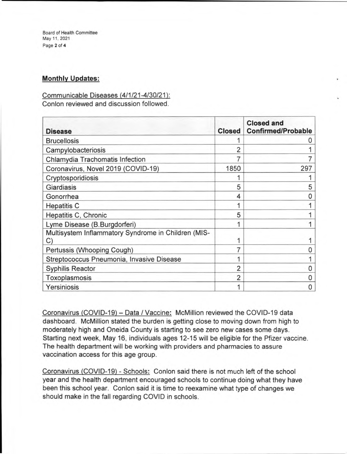Board of Health Committee May 11, 2021 Page 2 of **4** 

## **Monthly Updates:**

# Communicable Diseases (4/1/21-4/30/21):

Conlon reviewed and discussion followed.

| <b>Disease</b>                                            | <b>Closed</b>  | <b>Closed and</b><br><b>Confirmed/Probable</b> |
|-----------------------------------------------------------|----------------|------------------------------------------------|
| <b>Brucellosis</b>                                        |                |                                                |
| Campylobacteriosis                                        |                |                                                |
| Chlamydia Trachomatis Infection                           |                |                                                |
| Coronavirus, Novel 2019 (COVID-19)                        | 1850           | 297                                            |
| Cryptosporidiosis                                         |                |                                                |
| Giardiasis                                                | 5              | 5                                              |
| Gonorrhea                                                 | 4              | O                                              |
| <b>Hepatitis C</b>                                        |                |                                                |
| Hepatitis C, Chronic                                      | 5              |                                                |
| Lyme Disease (B.Burgdorferi)                              |                |                                                |
| Multisystem Inflammatory Syndrome in Children (MIS-<br>C) |                |                                                |
| Pertussis (Whooping Cough)                                |                |                                                |
| Streptococcus Pneumonia, Invasive Disease                 |                |                                                |
| <b>Syphilis Reactor</b>                                   | $\overline{c}$ |                                                |
| Toxoplasmosis                                             |                | Ω                                              |
| Yersiniosis                                               |                | O                                              |

Coronavirus (COVID-19) — Data / Vaccine: McMillion reviewed the COVID-19 data dashboard. McMillion stated the burden is getting close to moving down from high to moderately high and Oneida County is starting to see zero new cases some days. Starting next week, May 16, individuals ages 12-15 will be eligible for the Pfizer vaccine. The health department will be working with providers and pharmacies to assure vaccination access for this age group.

Coronavirus (COVID-19) - Schools: Conlon said there is not much left of the school year and the health department encouraged schools to continue doing what they have been this school year. Conlon said it is time to reexamine what type of changes we should make in the fall regarding COVID in schools.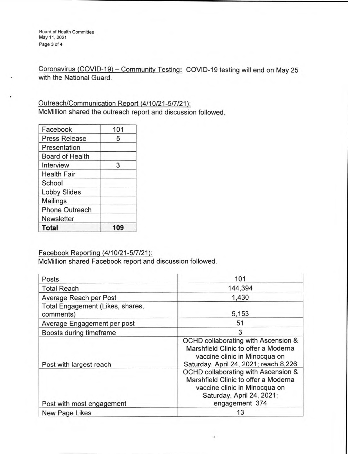Board of Health Committee May 11, 2021 Page 3 of **4** 

Coronavirus (COVID-19) — Community Testing: COVID-19 testing will end on May 25 with the National Guard.

Outreach/Communication Report (4/10/21-5f7/21): McMillion shared the outreach report and discussion followed.

| Facebook               | 101 |
|------------------------|-----|
| <b>Press Release</b>   | 5   |
| Presentation           |     |
| <b>Board of Health</b> |     |
| Interview              | 3   |
| <b>Health Fair</b>     |     |
| School                 |     |
| <b>Lobby Slides</b>    |     |
| <b>Mailings</b>        |     |
| <b>Phone Outreach</b>  |     |
| <b>Newsletter</b>      |     |
| <b>Total</b>           |     |

## Facebook Reporting (4/10/21-5/7/21):

McMillion shared Facebook report and discussion followed.

| Posts                                         | 101                                                                                                                                                         |
|-----------------------------------------------|-------------------------------------------------------------------------------------------------------------------------------------------------------------|
| <b>Total Reach</b>                            | 144,394                                                                                                                                                     |
| Average Reach per Post                        | 1,430                                                                                                                                                       |
| Total Engagement (Likes, shares,<br>comments) | 5,153                                                                                                                                                       |
| Average Engagement per post                   | 51                                                                                                                                                          |
| Boosts during timeframe                       | 3                                                                                                                                                           |
| Post with largest reach                       | OCHD collaborating with Ascension &<br>Marshfield Clinic to offer a Moderna<br>vaccine clinic in Minocqua on<br>Saturday, April 24, 2021; reach 8,226       |
| Post with most engagement                     | OCHD collaborating with Ascension &<br>Marshfield Clinic to offer a Moderna<br>vaccine clinic in Minocqua on<br>Saturday, April 24, 2021;<br>engagement 374 |
| New Page Likes                                | 13                                                                                                                                                          |